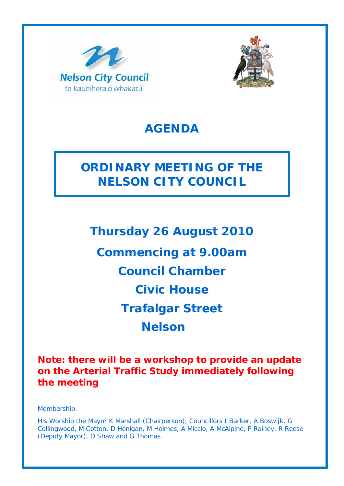



## **AGENDA**

# **ORDINARY MEETING OF THE NELSON CITY COUNCIL**

**Thursday 26 August 2010 Commencing at 9.00am Council Chamber Civic House Trafalgar Street Nelson** 

**Note: there will be a workshop to provide an update on the Arterial Traffic Study immediately following the meeting**

Membership:

His Worship the Mayor K Marshall (Chairperson), Councillors I Barker, A Boswijk, G Collingwood, M Cotton, D Henigan, M Holmes, A Miccio, A McAlpine, P Rainey, R Reese (Deputy Mayor), D Shaw and G Thomas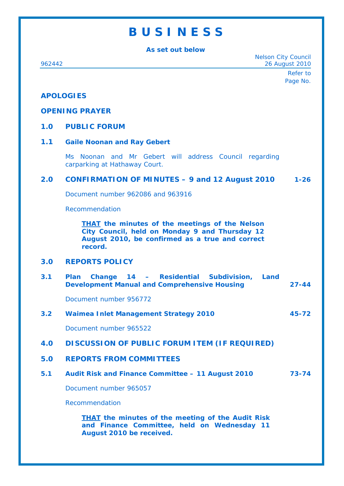## **B U S I N E S S**

**As set out below** 

Nelson City Council 962442 26 August 2010 Refer to Page No. **APOLOGIES OPENING PRAYER 1.0 PUBLIC FORUM 1.1 Gaile Noonan and Ray Gebert** Ms Noonan and Mr Gebert will address Council regarding carparking at Hathaway Court. **2.0 CONFIRMATION OF MINUTES – 9 and 12 August 2010 1-26** Document number 962086 and 963916 Recommendation *THAT the minutes of the meetings of the Nelson City Council, held on Monday 9 and Thursday 12 August 2010, be confirmed as a true and correct record.* **3.0 REPORTS POLICY 3.1 Plan Change 14 – Residential Subdivision, Land Development Manual and Comprehensive Housing 27-44**  Document number 956772 **3.2 Waimea Inlet Management Strategy 2010 45-72**  Document number 965522 **4.0 DISCUSSION OF PUBLIC FORUM ITEM (IF REQUIRED) 5.0 REPORTS FROM COMMITTEES 5.1 Audit Risk and Finance Committee – 11 August 2010 73-74**  Document number 965057 Recommendation *THAT the minutes of the meeting of the Audit Risk and Finance Committee, held on Wednesday 11 August 2010 be received.*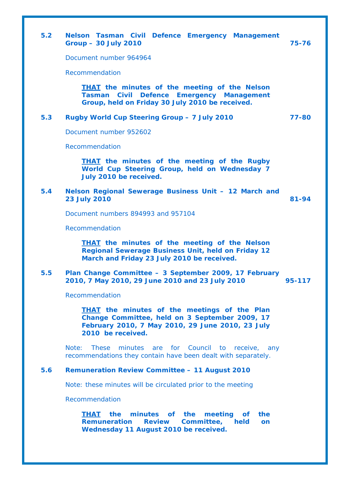| 5.2 | Nelson Tasman Civil Defence Emergency Management<br><b>Group - 30 July 2010</b>                                                                                                | 75-76     |
|-----|--------------------------------------------------------------------------------------------------------------------------------------------------------------------------------|-----------|
|     | Document number 964964                                                                                                                                                         |           |
|     | Recommendation                                                                                                                                                                 |           |
|     | <b>THAT</b> the minutes of the meeting of the Nelson<br>Tasman Civil Defence Emergency Management<br>Group, held on Friday 30 July 2010 be received.                           |           |
| 5.3 | Rugby World Cup Steering Group - 7 July 2010                                                                                                                                   | 77-80     |
|     | Document number 952602                                                                                                                                                         |           |
|     | Recommendation                                                                                                                                                                 |           |
|     | <b>THAT</b> the minutes of the meeting of the Rugby<br>World Cup Steering Group, held on Wednesday 7<br>July 2010 be received.                                                 |           |
| 5.4 | Nelson Regional Sewerage Business Unit - 12 March and<br><b>23 July 2010</b>                                                                                                   | $81 - 94$ |
|     | Document numbers 894993 and 957104                                                                                                                                             |           |
|     | Recommendation                                                                                                                                                                 |           |
|     | <b>THAT</b> the minutes of the meeting of the Nelson<br><b>Regional Sewerage Business Unit, held on Friday 12</b><br>March and Friday 23 July 2010 be received.                |           |
| 5.5 | Plan Change Committee - 3 September 2009, 17 February<br>2010, 7 May 2010, 29 June 2010 and 23 July 2010                                                                       | 95-117    |
|     | Recommendation                                                                                                                                                                 |           |
|     | <b>THAT</b> the minutes of the meetings of the Plan<br>Change Committee, held on 3 September 2009, 17<br>February 2010, 7 May 2010, 29 June 2010, 23 July<br>2010 be received. |           |
|     | Note:<br><b>These</b><br>minutes<br>for<br>Council<br>to<br>are<br>receive,<br>any<br>recommendations they contain have been dealt with separately.                            |           |
| 5.6 | <b>Remuneration Review Committee - 11 August 2010</b>                                                                                                                          |           |
|     | Note: these minutes will be circulated prior to the meeting                                                                                                                    |           |
|     | Recommendation                                                                                                                                                                 |           |
|     | the minutes of the<br>meeting<br>THAT<br>the<br><b>of</b><br>Committee,<br><b>Remuneration</b><br><b>Review</b><br>held<br><b>on</b><br>Wednesday 11 August 2010 be received.  |           |